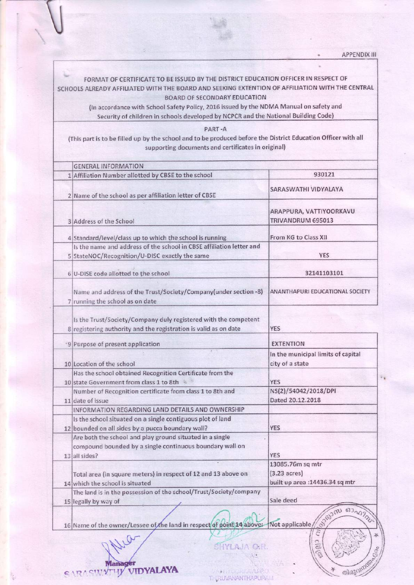FORMAT OF CERTIFICATE TO BE ISSUED BY THE DISTRICT EDUCATION OFFICER IN RESPECT OF SCHOOLS ALREADY AFFILIATED WITH THE BOARD AND SEEKING EXTENTION OF AFFILIATION WITH THE CENTRAL **BOARD OF SECONDARY EDUCATION** 

(In accordance with School Safety Policy, 2016 issued by the NDMA Manual on safety and Security of children in schools developed by NCPCR and the National Building Code)

PART-A

(This part is to be filled up by the school and to be produced before the District Education Officer with all supporting documents and certificates in original)

| <b>GENERAL INFORMATION</b>                                                                                                          |                                                                               |
|-------------------------------------------------------------------------------------------------------------------------------------|-------------------------------------------------------------------------------|
| 1 Affiliation Number allotted by CBSE to the school                                                                                 | 930121                                                                        |
| 2 Name of the school as per affiliation letter of CBSE                                                                              | SARASWATHI VIDYALAYA                                                          |
| 3 Address of the School                                                                                                             | ARAPPURA, VATTIYOORKAVU<br>TRIVANDRUM 695013                                  |
| 4 Standard/level/class up to which the school is running                                                                            | From KG to Class XII                                                          |
| Is the name and address of the school in CBSE affiliation letter and<br>5 StateNOC/Recognition/U-DISC exactly the same              | <b>YES</b>                                                                    |
| 6 U-DISE code allotted to the school                                                                                                | 32141103101                                                                   |
| Name and address of the Trust/Society/Company(under section -8)<br>7 running the school as on date                                  | ANANTHAPURI EDUCATIONAL SOCIETY                                               |
| Is the Trust/Society/Company duly registered with the competent<br>8 registering authority and the registration is valid as on date | <b>YES</b>                                                                    |
| '9 Purpose of present application                                                                                                   | <b>EXTENTION</b>                                                              |
| 10 Location of the school                                                                                                           | In the municipal limits of capital<br>city of a state                         |
| Has the school obtained Recognition Certificate from the<br>10 state Government from class 1 to 8th                                 | <b>YES</b>                                                                    |
| Number of Recognition certificate from class 1 to 8th and<br>11 date of issue                                                       | NS(2)/54042/2018/DPI<br>Dated 20.12.2018                                      |
| INFORMATION REGARDING LAND DETAILS AND OWNERSHIP                                                                                    |                                                                               |
| Is the school situated on a single contiguous plot of land<br>12 bounded on all sides by a pucca boundary wall?                     | YES                                                                           |
| Are both the school and play ground situated in a single<br>compound bounded by a single continuous boundary wall on                | <b>YES</b>                                                                    |
| 13 all sides?<br>Total area (in square meters) in respect of 12 and 13 above on<br>14 which the school is situated                  | 13085.76m sq mtr<br>$(3.23 \text{ acres})$<br>built up area : 14436.34 sq mtr |
| The land is in the possession of the school/Trust/Society/company<br>15 legally by way of                                           | Sale deed                                                                     |
| 16 Name of the owner/Lessee of the land in respect of point 14 above:                                                               | Beizun ostazza<br>Not applicable/                                             |

**SHYLAJA O.R** 

THIRUVANANTHAPURA

KAVLAT

C  $\frac{1}{2}$ 

G

തിരുവർ

**Manager** SARASWYTHY VIDYALAYA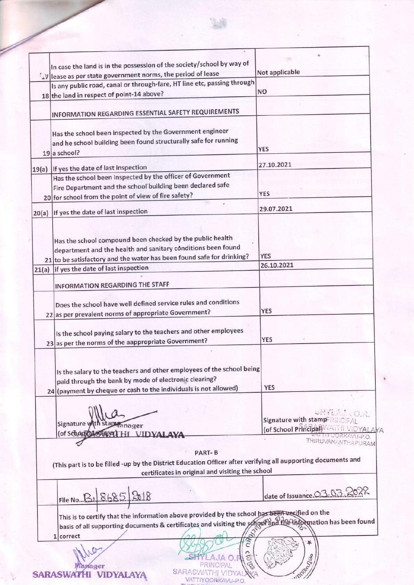| In case the land is in the possession of the society/school by way of                                         |                             |
|---------------------------------------------------------------------------------------------------------------|-----------------------------|
| $\langle \Delta y  $ lease as per state government norms, the period of lease                                 | Not applicable              |
| Is any public road, canal or through-fare, HT line etc, passing through                                       |                             |
| 18 the land in respect of point-14 above?                                                                     | <b>NO</b>                   |
|                                                                                                               |                             |
| INFORMATION REGARDING ESSENTIAL SAFETY REQUIREMENTS                                                           |                             |
|                                                                                                               |                             |
| Has the school been inspected by the Government engineer                                                      |                             |
| and he school building been found structurally safe for running                                               |                             |
| 19 a school?                                                                                                  | <b>YES</b>                  |
|                                                                                                               | 27.10.2021                  |
| 19(a) If yes the date of last inspection<br>Has the school been inspected by the officer of Government        |                             |
|                                                                                                               |                             |
| Fire Department and the school building been declared safe                                                    | <b>YES</b>                  |
| 20 for school from the point of view of fire safety?                                                          |                             |
| 20(a) If yes the date of last inspection                                                                      | 29.07.2021                  |
|                                                                                                               |                             |
|                                                                                                               |                             |
| Has the school compound been checked by the public health                                                     |                             |
| department and the health and sanitary conditions been found                                                  |                             |
| 21 to be satisfactory and the water has been found safe for drinking?                                         | <b>YES</b>                  |
| 21(a) lif yes the date of last inspection                                                                     | 26.10.2021                  |
|                                                                                                               |                             |
| INFORMATION REGARDING THE STAFF                                                                               |                             |
| Does the school have well defined service rules and conditions                                                |                             |
|                                                                                                               | <b>YES</b>                  |
| 22 as per prevalent norms of appropriate Government?                                                          |                             |
| Is the school paying salary to the teachers and other employees                                               |                             |
| 23 as per the norms of the aappropriate Government?                                                           | <b>YES</b>                  |
|                                                                                                               |                             |
|                                                                                                               |                             |
| Is the salary to the teachers and other employees of the school being                                         |                             |
| paid through the bank by mode of electronic clearing?                                                         |                             |
| 24 (payment by cheque or cash to the individuals is not allowed)                                              | <b>YES</b>                  |
|                                                                                                               |                             |
|                                                                                                               |                             |
|                                                                                                               | Signature with stam         |
| Signature w<br>nager                                                                                          | (of School Principal)       |
| (of School Magage<br><b>VIDVAL</b>                                                                            |                             |
|                                                                                                               | THIRUVANANTHAPURAM          |
| <b>PART-B</b>                                                                                                 |                             |
| (This part is to be filled -up by the District Education Officer after verifying all aupporting documents and |                             |
| certificates in original and visiting the school                                                              |                             |
|                                                                                                               |                             |
| File No B. 8685 2018                                                                                          | date of Issuance 03.03.2022 |
|                                                                                                               |                             |
| This is to certify that the information above provided by the school has been verified on the                 |                             |
| basis of all supporting documents & certificates and visiting the school and the information has been found   |                             |
| ò<br>1 correct                                                                                                |                             |
| Ĝ                                                                                                             | *                           |
|                                                                                                               |                             |
| æ<br>EDS<br>aaer                                                                                              | imposed !                   |
|                                                                                                               |                             |
| VATTIYOORKAVU-P.O.                                                                                            |                             |